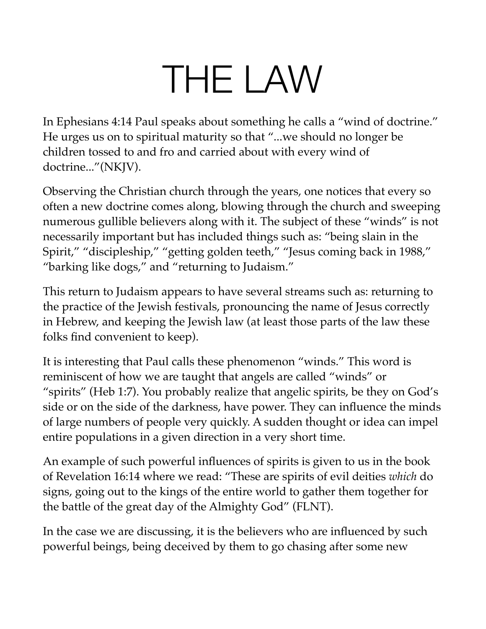# THE LAW

In Ephesians 4:14 Paul speaks about something he calls a "wind of doctrine." He urges us on to spiritual maturity so that "...we should no longer be children tossed to and fro and carried about with every wind of doctrine..."(NKJV).

Observing the Christian church through the years, one notices that every so often a new doctrine comes along, blowing through the church and sweeping numerous gullible believers along with it. The subject of these "winds" is not necessarily important but has included things such as: "being slain in the Spirit," "discipleship," "getting golden teeth," "Jesus coming back in 1988," "barking like dogs," and "returning to Judaism."

This return to Judaism appears to have several streams such as: returning to the practice of the Jewish festivals, pronouncing the name of Jesus correctly in Hebrew, and keeping the Jewish law (at least those parts of the law these folks find convenient to keep).

It is interesting that Paul calls these phenomenon "winds." This word is reminiscent of how we are taught that angels are called "winds" or "spirits" (Heb 1:7). You probably realize that angelic spirits, be they on God's side or on the side of the darkness, have power. They can influence the minds of large numbers of people very quickly. A sudden thought or idea can impel entire populations in a given direction in a very short time.

An example of such powerful influences of spirits is given to us in the book of Revelation 16:14 where we read: "These are spirits of evil deities *which* do signs, going out to the kings of the entire world to gather them together for the battle of the great day of the Almighty God" (FLNT).

In the case we are discussing, it is the believers who are influenced by such powerful beings, being deceived by them to go chasing after some new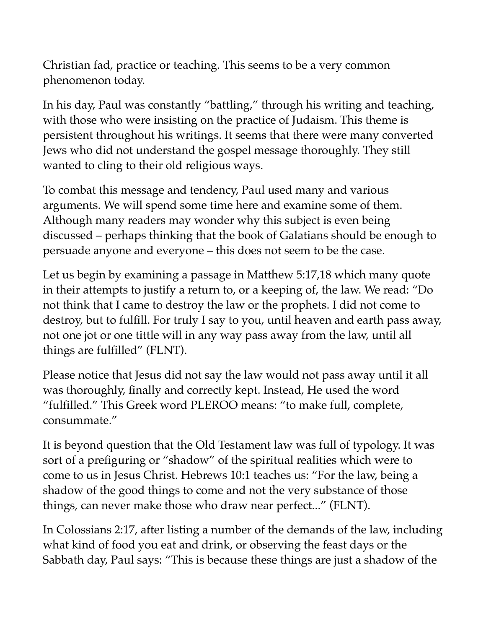Christian fad, practice or teaching. This seems to be a very common phenomenon today.

In his day, Paul was constantly "battling," through his writing and teaching, with those who were insisting on the practice of Judaism. This theme is persistent throughout his writings. It seems that there were many converted Jews who did not understand the gospel message thoroughly. They still wanted to cling to their old religious ways.

To combat this message and tendency, Paul used many and various arguments. We will spend some time here and examine some of them. Although many readers may wonder why this subject is even being discussed – perhaps thinking that the book of Galatians should be enough to persuade anyone and everyone – this does not seem to be the case.

Let us begin by examining a passage in Matthew 5:17,18 which many quote in their attempts to justify a return to, or a keeping of, the law. We read: "Do not think that I came to destroy the law or the prophets. I did not come to destroy, but to fulfill. For truly I say to you, until heaven and earth pass away, not one jot or one tittle will in any way pass away from the law, until all things are fulfilled" (FLNT).

Please notice that Jesus did not say the law would not pass away until it all was thoroughly, finally and correctly kept. Instead, He used the word "fulfilled." This Greek word PLEROO means: "to make full, complete, consummate."

It is beyond question that the Old Testament law was full of typology. It was sort of a prefiguring or "shadow" of the spiritual realities which were to come to us in Jesus Christ. Hebrews 10:1 teaches us: "For the law, being a shadow of the good things to come and not the very substance of those things, can never make those who draw near perfect..." (FLNT).

In Colossians 2:17, after listing a number of the demands of the law, including what kind of food you eat and drink, or observing the feast days or the Sabbath day, Paul says: "This is because these things are just a shadow of the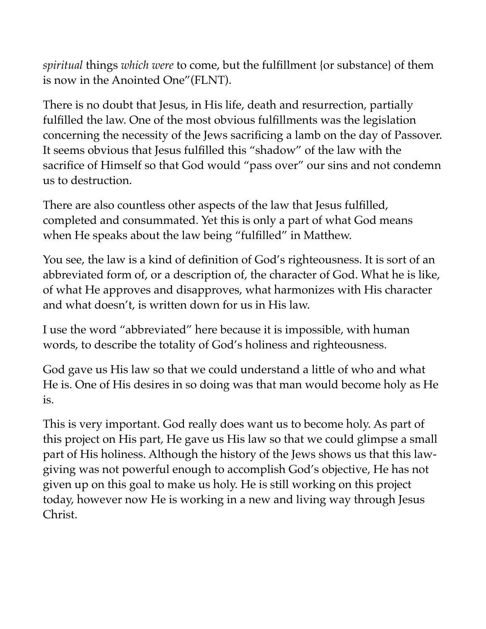*spiritual* things *which were* to come, but the fulfillment {or substance} of them is now in the Anointed One"(FLNT).

There is no doubt that Jesus, in His life, death and resurrection, partially fulfilled the law. One of the most obvious fulfillments was the legislation concerning the necessity of the Jews sacrificing a lamb on the day of Passover. It seems obvious that Jesus fulfilled this "shadow" of the law with the sacrifice of Himself so that God would "pass over" our sins and not condemn us to destruction.

There are also countless other aspects of the law that Jesus fulfilled, completed and consummated. Yet this is only a part of what God means when He speaks about the law being "fulfilled" in Matthew.

You see, the law is a kind of definition of God's righteousness. It is sort of an abbreviated form of, or a description of, the character of God. What he is like, of what He approves and disapproves, what harmonizes with His character and what doesn't, is written down for us in His law.

I use the word "abbreviated" here because it is impossible, with human words, to describe the totality of God's holiness and righteousness.

God gave us His law so that we could understand a little of who and what He is. One of His desires in so doing was that man would become holy as He is.

This is very important. God really does want us to become holy. As part of this project on His part, He gave us His law so that we could glimpse a small part of His holiness. Although the history of the Jews shows us that this lawgiving was not powerful enough to accomplish God's objective, He has not given up on this goal to make us holy. He is still working on this project today, however now He is working in a new and living way through Jesus Christ.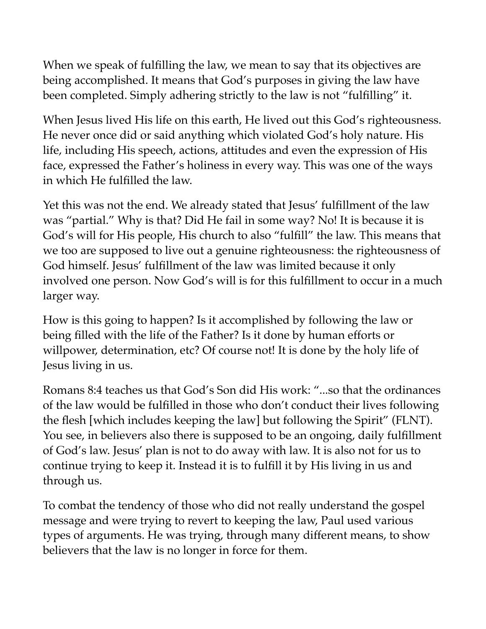When we speak of fulfilling the law, we mean to say that its objectives are being accomplished. It means that God's purposes in giving the law have been completed. Simply adhering strictly to the law is not "fulfilling" it.

When Jesus lived His life on this earth, He lived out this God's righteousness. He never once did or said anything which violated God's holy nature. His life, including His speech, actions, attitudes and even the expression of His face, expressed the Father's holiness in every way. This was one of the ways in which He fulfilled the law.

Yet this was not the end. We already stated that Jesus' fulfillment of the law was "partial." Why is that? Did He fail in some way? No! It is because it is God's will for His people, His church to also "fulfill" the law. This means that we too are supposed to live out a genuine righteousness: the righteousness of God himself. Jesus' fulfillment of the law was limited because it only involved one person. Now God's will is for this fulfillment to occur in a much larger way.

How is this going to happen? Is it accomplished by following the law or being filled with the life of the Father? Is it done by human efforts or willpower, determination, etc? Of course not! It is done by the holy life of Jesus living in us.

Romans 8:4 teaches us that God's Son did His work: "...so that the ordinances of the law would be fulfilled in those who don't conduct their lives following the flesh [which includes keeping the law] but following the Spirit" (FLNT). You see, in believers also there is supposed to be an ongoing, daily fulfillment of God's law. Jesus' plan is not to do away with law. It is also not for us to continue trying to keep it. Instead it is to fulfill it by His living in us and through us.

To combat the tendency of those who did not really understand the gospel message and were trying to revert to keeping the law, Paul used various types of arguments. He was trying, through many different means, to show believers that the law is no longer in force for them.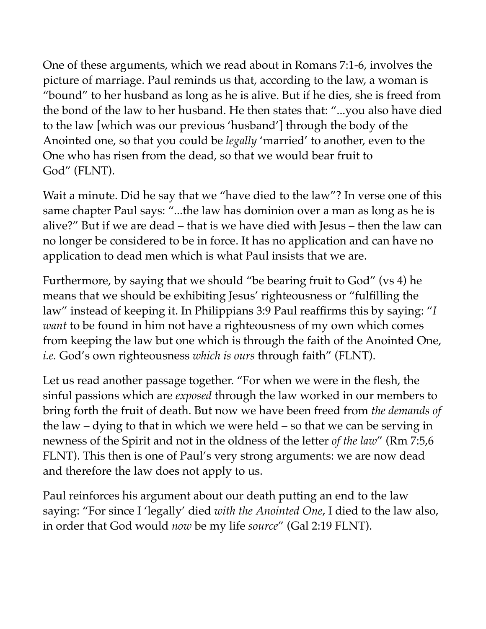One of these arguments, which we read about in Romans 7:1-6, involves the picture of marriage. Paul reminds us that, according to the law, a woman is "bound" to her husband as long as he is alive. But if he dies, she is freed from the bond of the law to her husband. He then states that: "...you also have died to the law [which was our previous 'husband'] through the body of the Anointed one, so that you could be *legally* 'married' to another, even to the One who has risen from the dead, so that we would bear fruit to God" (FLNT).

Wait a minute. Did he say that we "have died to the law"? In verse one of this same chapter Paul says: "...the law has dominion over a man as long as he is alive?" But if we are dead – that is we have died with Jesus – then the law can no longer be considered to be in force. It has no application and can have no application to dead men which is what Paul insists that we are.

Furthermore, by saying that we should "be bearing fruit to God" (vs 4) he means that we should be exhibiting Jesus' righteousness or "fulfilling the law" instead of keeping it. In Philippians 3:9 Paul reaffirms this by saying: "*I want* to be found in him not have a righteousness of my own which comes from keeping the law but one which is through the faith of the Anointed One, *i.e.* God's own righteousness *which is ours* through faith" (FLNT).

Let us read another passage together. "For when we were in the flesh, the sinful passions which are *exposed* through the law worked in our members to bring forth the fruit of death. But now we have been freed from *the demands of*  the law – dying to that in which we were held – so that we can be serving in newness of the Spirit and not in the oldness of the letter *of the law*" (Rm 7:5,6 FLNT). This then is one of Paul's very strong arguments: we are now dead and therefore the law does not apply to us.

Paul reinforces his argument about our death putting an end to the law saying: "For since I 'legally' died *with the Anointed One*, I died to the law also, in order that God would *now* be my life *source*" (Gal 2:19 FLNT).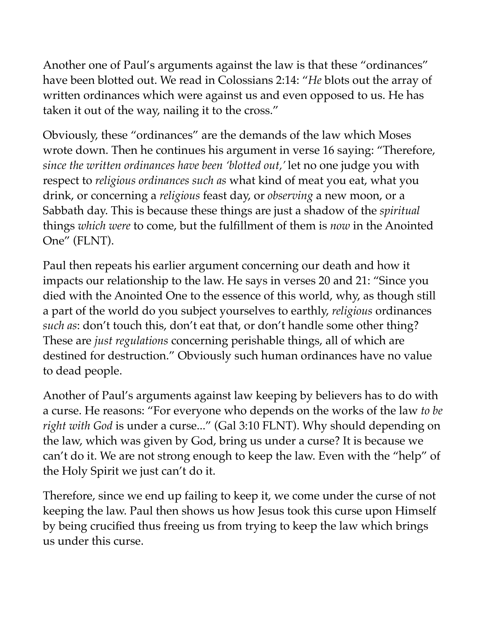Another one of Paul's arguments against the law is that these "ordinances" have been blotted out. We read in Colossians 2:14: "*He* blots out the array of written ordinances which were against us and even opposed to us. He has taken it out of the way, nailing it to the cross."

Obviously, these "ordinances" are the demands of the law which Moses wrote down. Then he continues his argument in verse 16 saying: "Therefore, *since the written ordinances have been 'blotted out,'* let no one judge you with respect to *religious ordinances such as* what kind of meat you eat, what you drink, or concerning a *religious* feast day, or *observing* a new moon, or a Sabbath day. This is because these things are just a shadow of the *spiritual*  things *which were* to come, but the fulfillment of them is *now* in the Anointed One" (FLNT).

Paul then repeats his earlier argument concerning our death and how it impacts our relationship to the law. He says in verses 20 and 21: "Since you died with the Anointed One to the essence of this world, why, as though still a part of the world do you subject yourselves to earthly, *religious* ordinances *such as*: don't touch this, don't eat that, or don't handle some other thing? These are *just regulations* concerning perishable things, all of which are destined for destruction." Obviously such human ordinances have no value to dead people.

Another of Paul's arguments against law keeping by believers has to do with a curse. He reasons: "For everyone who depends on the works of the law *to be right with God* is under a curse..." (Gal 3:10 FLNT). Why should depending on the law, which was given by God, bring us under a curse? It is because we can't do it. We are not strong enough to keep the law. Even with the "help" of the Holy Spirit we just can't do it.

Therefore, since we end up failing to keep it, we come under the curse of not keeping the law. Paul then shows us how Jesus took this curse upon Himself by being crucified thus freeing us from trying to keep the law which brings us under this curse.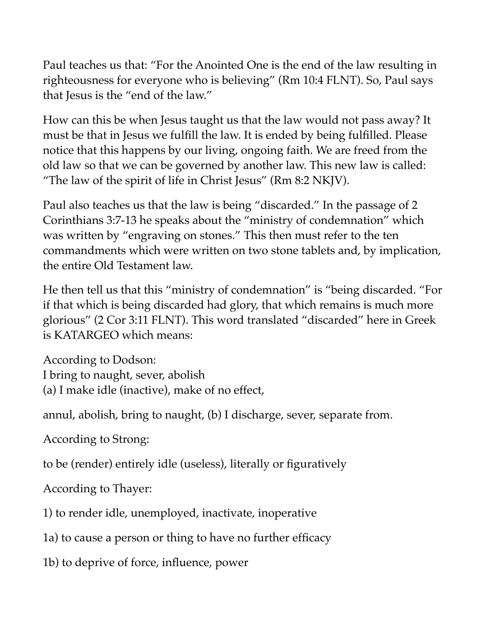Paul teaches us that: "For the Anointed One is the end of the law resulting in righteousness for everyone who is believing" (Rm 10:4 FLNT). So, Paul says that Jesus is the "end of the law."

How can this be when Jesus taught us that the law would not pass away? It must be that in Jesus we fulfill the law. It is ended by being fulfilled. Please notice that this happens by our living, ongoing faith. We are freed from the old law so that we can be governed by another law. This new law is called: "The law of the spirit of life in Christ Jesus" (Rm 8:2 NKJV).

Paul also teaches us that the law is being "discarded." In the passage of 2 Corinthians 3:7-13 he speaks about the "ministry of condemnation" which was written by "engraving on stones." This then must refer to the ten commandments which were written on two stone tablets and, by implication, the entire Old Testament law.

He then tell us that this "ministry of condemnation" is "being discarded. "For if that which is being discarded had glory, that which remains is much more glorious" (2 Cor 3:11 FLNT). This word translated "discarded" here in Greek is KATARGEO which means:

According to Dodson: I bring to naught, sever, abolish (a) I make idle (inactive), make of no effect,

annul, abolish, bring to naught, (b) I discharge, sever, separate from.

According to Strong:

to be (render) entirely idle (useless), literally or figuratively

According to Thayer:

1) to render idle, unemployed, inactivate, inoperative

1a) to cause a person or thing to have no further efficacy

1b) to deprive of force, influence, power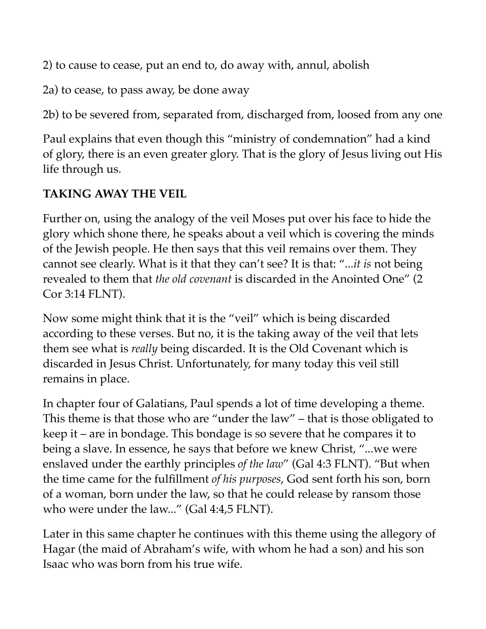2) to cause to cease, put an end to, do away with, annul, abolish

2a) to cease, to pass away, be done away

2b) to be severed from, separated from, discharged from, loosed from any one

Paul explains that even though this "ministry of condemnation" had a kind of glory, there is an even greater glory. That is the glory of Jesus living out His life through us.

## **TAKING AWAY THE VEIL**

Further on, using the analogy of the veil Moses put over his face to hide the glory which shone there, he speaks about a veil which is covering the minds of the Jewish people. He then says that this veil remains over them. They cannot see clearly. What is it that they can't see? It is that: "...*it is* not being revealed to them that *the old covenant* is discarded in the Anointed One" (2 Cor 3:14 FLNT).

Now some might think that it is the "veil" which is being discarded according to these verses. But no, it is the taking away of the veil that lets them see what is *really* being discarded. It is the Old Covenant which is discarded in Jesus Christ. Unfortunately, for many today this veil still remains in place.

In chapter four of Galatians, Paul spends a lot of time developing a theme. This theme is that those who are "under the law" – that is those obligated to keep it – are in bondage. This bondage is so severe that he compares it to being a slave. In essence, he says that before we knew Christ, "...we were enslaved under the earthly principles *of the law*" (Gal 4:3 FLNT). "But when the time came for the fulfillment *of his purposes*, God sent forth his son, born of a woman, born under the law, so that he could release by ransom those who were under the law..." (Gal 4:4,5 FLNT).

Later in this same chapter he continues with this theme using the allegory of Hagar (the maid of Abraham's wife, with whom he had a son) and his son Isaac who was born from his true wife.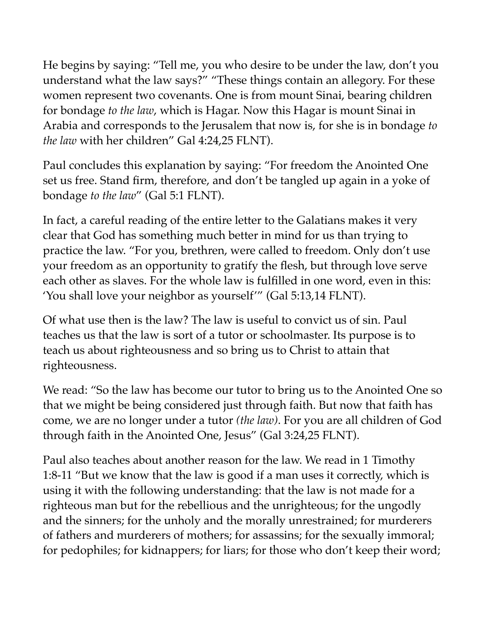He begins by saying: "Tell me, you who desire to be under the law, don't you understand what the law says?" "These things contain an allegory. For these women represent two covenants. One is from mount Sinai, bearing children for bondage *to the law*, which is Hagar. Now this Hagar is mount Sinai in Arabia and corresponds to the Jerusalem that now is, for she is in bondage *to the law* with her children" Gal 4:24,25 FLNT).

Paul concludes this explanation by saying: "For freedom the Anointed One set us free. Stand firm, therefore, and don't be tangled up again in a yoke of bondage *to the law*" (Gal 5:1 FLNT).

In fact, a careful reading of the entire letter to the Galatians makes it very clear that God has something much better in mind for us than trying to practice the law. "For you, brethren, were called to freedom. Only don't use your freedom as an opportunity to gratify the flesh, but through love serve each other as slaves. For the whole law is fulfilled in one word, even in this: 'You shall love your neighbor as yourself'" (Gal 5:13,14 FLNT).

Of what use then is the law? The law is useful to convict us of sin. Paul teaches us that the law is sort of a tutor or schoolmaster. Its purpose is to teach us about righteousness and so bring us to Christ to attain that righteousness.

We read: "So the law has become our tutor to bring us to the Anointed One so that we might be being considered just through faith. But now that faith has come, we are no longer under a tutor *(the law)*. For you are all children of God through faith in the Anointed One, Jesus" (Gal 3:24,25 FLNT).

Paul also teaches about another reason for the law. We read in 1 Timothy 1:8-11 "But we know that the law is good if a man uses it correctly, which is using it with the following understanding: that the law is not made for a righteous man but for the rebellious and the unrighteous; for the ungodly and the sinners; for the unholy and the morally unrestrained; for murderers of fathers and murderers of mothers; for assassins; for the sexually immoral; for pedophiles; for kidnappers; for liars; for those who don't keep their word;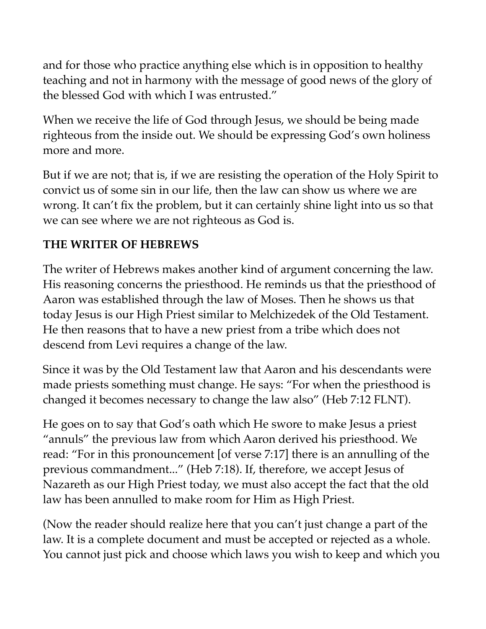and for those who practice anything else which is in opposition to healthy teaching and not in harmony with the message of good news of the glory of the blessed God with which I was entrusted."

When we receive the life of God through Jesus, we should be being made righteous from the inside out. We should be expressing God's own holiness more and more.

But if we are not; that is, if we are resisting the operation of the Holy Spirit to convict us of some sin in our life, then the law can show us where we are wrong. It can't fix the problem, but it can certainly shine light into us so that we can see where we are not righteous as God is.

#### **THE WRITER OF HEBREWS**

The writer of Hebrews makes another kind of argument concerning the law. His reasoning concerns the priesthood. He reminds us that the priesthood of Aaron was established through the law of Moses. Then he shows us that today Jesus is our High Priest similar to Melchizedek of the Old Testament. He then reasons that to have a new priest from a tribe which does not descend from Levi requires a change of the law.

Since it was by the Old Testament law that Aaron and his descendants were made priests something must change. He says: "For when the priesthood is changed it becomes necessary to change the law also" (Heb 7:12 FLNT).

He goes on to say that God's oath which He swore to make Jesus a priest "annuls" the previous law from which Aaron derived his priesthood. We read: "For in this pronouncement [of verse 7:17] there is an annulling of the previous commandment..." (Heb 7:18). If, therefore, we accept Jesus of Nazareth as our High Priest today, we must also accept the fact that the old law has been annulled to make room for Him as High Priest.

(Now the reader should realize here that you can't just change a part of the law. It is a complete document and must be accepted or rejected as a whole. You cannot just pick and choose which laws you wish to keep and which you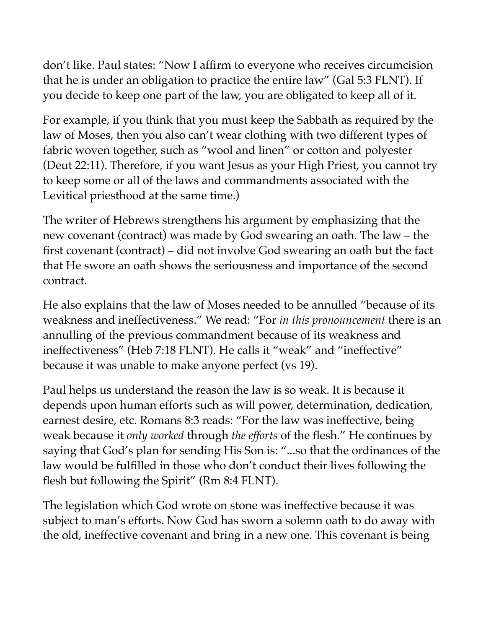don't like. Paul states: "Now I affirm to everyone who receives circumcision that he is under an obligation to practice the entire law" (Gal 5:3 FLNT). If you decide to keep one part of the law, you are obligated to keep all of it.

For example, if you think that you must keep the Sabbath as required by the law of Moses, then you also can't wear clothing with two different types of fabric woven together, such as "wool and linen" or cotton and polyester (Deut 22:11). Therefore, if you want Jesus as your High Priest, you cannot try to keep some or all of the laws and commandments associated with the Levitical priesthood at the same time.)

The writer of Hebrews strengthens his argument by emphasizing that the new covenant (contract) was made by God swearing an oath. The law – the first covenant (contract) – did not involve God swearing an oath but the fact that He swore an oath shows the seriousness and importance of the second contract.

He also explains that the law of Moses needed to be annulled "because of its weakness and ineffectiveness." We read: "For *in this pronouncement* there is an annulling of the previous commandment because of its weakness and ineffectiveness" (Heb 7:18 FLNT). He calls it "weak" and "ineffective" because it was unable to make anyone perfect (vs 19).

Paul helps us understand the reason the law is so weak. It is because it depends upon human efforts such as will power, determination, dedication, earnest desire, etc. Romans 8:3 reads: "For the law was ineffective, being weak because it *only worked* through *the efforts* of the flesh." He continues by saying that God's plan for sending His Son is: "...so that the ordinances of the law would be fulfilled in those who don't conduct their lives following the flesh but following the Spirit" (Rm 8:4 FLNT).

The legislation which God wrote on stone was ineffective because it was subject to man's efforts. Now God has sworn a solemn oath to do away with the old, ineffective covenant and bring in a new one. This covenant is being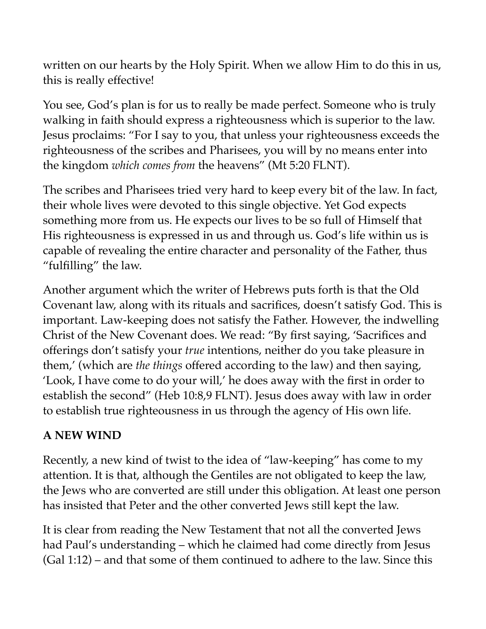written on our hearts by the Holy Spirit. When we allow Him to do this in us, this is really effective!

You see, God's plan is for us to really be made perfect. Someone who is truly walking in faith should express a righteousness which is superior to the law. Jesus proclaims: "For I say to you, that unless your righteousness exceeds the righteousness of the scribes and Pharisees, you will by no means enter into the kingdom *which comes from* the heavens" (Mt 5:20 FLNT).

The scribes and Pharisees tried very hard to keep every bit of the law. In fact, their whole lives were devoted to this single objective. Yet God expects something more from us. He expects our lives to be so full of Himself that His righteousness is expressed in us and through us. God's life within us is capable of revealing the entire character and personality of the Father, thus "fulfilling" the law.

Another argument which the writer of Hebrews puts forth is that the Old Covenant law, along with its rituals and sacrifices, doesn't satisfy God. This is important. Law-keeping does not satisfy the Father. However, the indwelling Christ of the New Covenant does. We read: "By first saying, 'Sacrifices and offerings don't satisfy your *true* intentions, neither do you take pleasure in them,' (which are *the things* offered according to the law) and then saying, 'Look, I have come to do your will,' he does away with the first in order to establish the second" (Heb 10:8,9 FLNT). Jesus does away with law in order to establish true righteousness in us through the agency of His own life.

## **A NEW WIND**

Recently, a new kind of twist to the idea of "law-keeping" has come to my attention. It is that, although the Gentiles are not obligated to keep the law, the Jews who are converted are still under this obligation. At least one person has insisted that Peter and the other converted Jews still kept the law.

It is clear from reading the New Testament that not all the converted Jews had Paul's understanding – which he claimed had come directly from Jesus (Gal 1:12) – and that some of them continued to adhere to the law. Since this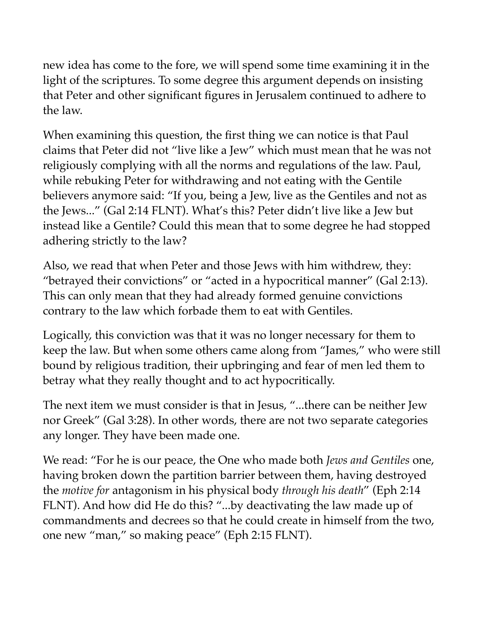new idea has come to the fore, we will spend some time examining it in the light of the scriptures. To some degree this argument depends on insisting that Peter and other significant figures in Jerusalem continued to adhere to the law.

When examining this question, the first thing we can notice is that Paul claims that Peter did not "live like a Jew" which must mean that he was not religiously complying with all the norms and regulations of the law. Paul, while rebuking Peter for withdrawing and not eating with the Gentile believers anymore said: "If you, being a Jew, live as the Gentiles and not as the Jews..." (Gal 2:14 FLNT). What's this? Peter didn't live like a Jew but instead like a Gentile? Could this mean that to some degree he had stopped adhering strictly to the law?

Also, we read that when Peter and those Jews with him withdrew, they: "betrayed their convictions" or "acted in a hypocritical manner" (Gal 2:13). This can only mean that they had already formed genuine convictions contrary to the law which forbade them to eat with Gentiles.

Logically, this conviction was that it was no longer necessary for them to keep the law. But when some others came along from "James," who were still bound by religious tradition, their upbringing and fear of men led them to betray what they really thought and to act hypocritically.

The next item we must consider is that in Jesus, "...there can be neither Jew nor Greek" (Gal 3:28). In other words, there are not two separate categories any longer. They have been made one.

We read: "For he is our peace, the One who made both *Jews and Gentiles* one, having broken down the partition barrier between them, having destroyed the *motive for* antagonism in his physical body *through his death*" (Eph 2:14 FLNT). And how did He do this? "...by deactivating the law made up of commandments and decrees so that he could create in himself from the two, one new "man," so making peace" (Eph 2:15 FLNT).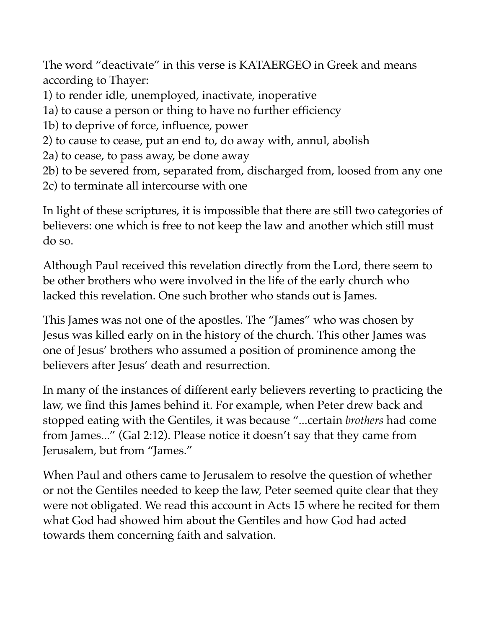The word "deactivate" in this verse is KATAERGEO in Greek and means according to Thayer:

- 1) to render idle, unemployed, inactivate, inoperative
- 1a) to cause a person or thing to have no further efficiency
- 1b) to deprive of force, influence, power
- 2) to cause to cease, put an end to, do away with, annul, abolish
- 2a) to cease, to pass away, be done away
- 2b) to be severed from, separated from, discharged from, loosed from any one
- 2c) to terminate all intercourse with one

In light of these scriptures, it is impossible that there are still two categories of believers: one which is free to not keep the law and another which still must do so.

Although Paul received this revelation directly from the Lord, there seem to be other brothers who were involved in the life of the early church who lacked this revelation. One such brother who stands out is James.

This James was not one of the apostles. The "James" who was chosen by Jesus was killed early on in the history of the church. This other James was one of Jesus' brothers who assumed a position of prominence among the believers after Jesus' death and resurrection.

In many of the instances of different early believers reverting to practicing the law, we find this James behind it. For example, when Peter drew back and stopped eating with the Gentiles, it was because "...certain *brothers* had come from James..." (Gal 2:12). Please notice it doesn't say that they came from Jerusalem, but from "James."

When Paul and others came to Jerusalem to resolve the question of whether or not the Gentiles needed to keep the law, Peter seemed quite clear that they were not obligated. We read this account in Acts 15 where he recited for them what God had showed him about the Gentiles and how God had acted towards them concerning faith and salvation.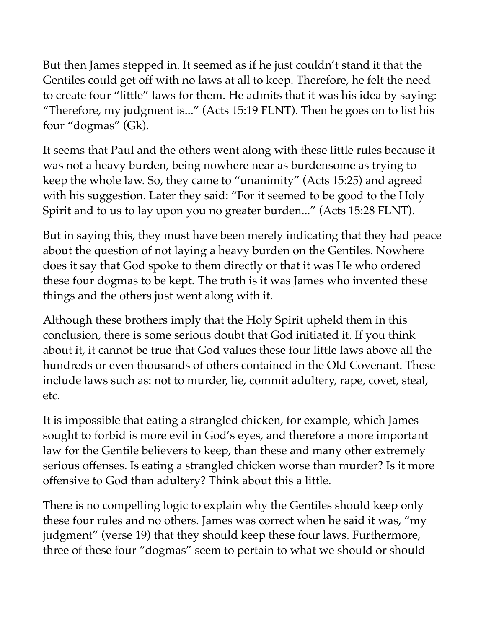But then James stepped in. It seemed as if he just couldn't stand it that the Gentiles could get off with no laws at all to keep. Therefore, he felt the need to create four "little" laws for them. He admits that it was his idea by saying: "Therefore, my judgment is..." (Acts 15:19 FLNT). Then he goes on to list his four "dogmas" (Gk).

It seems that Paul and the others went along with these little rules because it was not a heavy burden, being nowhere near as burdensome as trying to keep the whole law. So, they came to "unanimity" (Acts 15:25) and agreed with his suggestion. Later they said: "For it seemed to be good to the Holy Spirit and to us to lay upon you no greater burden..." (Acts 15:28 FLNT).

But in saying this, they must have been merely indicating that they had peace about the question of not laying a heavy burden on the Gentiles. Nowhere does it say that God spoke to them directly or that it was He who ordered these four dogmas to be kept. The truth is it was James who invented these things and the others just went along with it.

Although these brothers imply that the Holy Spirit upheld them in this conclusion, there is some serious doubt that God initiated it. If you think about it, it cannot be true that God values these four little laws above all the hundreds or even thousands of others contained in the Old Covenant. These include laws such as: not to murder, lie, commit adultery, rape, covet, steal, etc.

It is impossible that eating a strangled chicken, for example, which James sought to forbid is more evil in God's eyes, and therefore a more important law for the Gentile believers to keep, than these and many other extremely serious offenses. Is eating a strangled chicken worse than murder? Is it more offensive to God than adultery? Think about this a little.

There is no compelling logic to explain why the Gentiles should keep only these four rules and no others. James was correct when he said it was, "my judgment" (verse 19) that they should keep these four laws. Furthermore, three of these four "dogmas" seem to pertain to what we should or should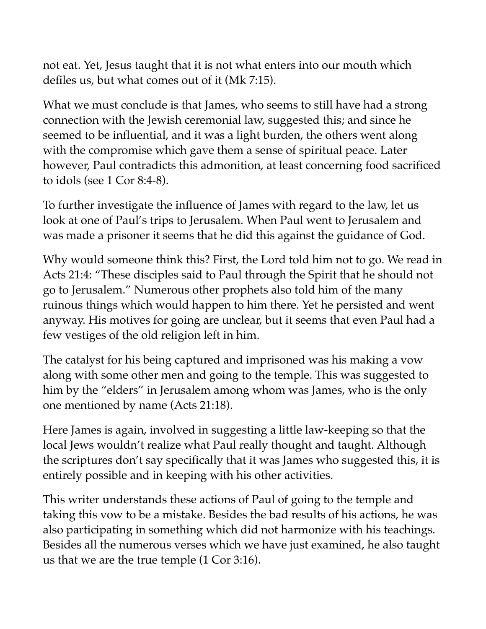not eat. Yet, Jesus taught that it is not what enters into our mouth which defiles us, but what comes out of it (Mk 7:15).

What we must conclude is that James, who seems to still have had a strong connection with the Jewish ceremonial law, suggested this; and since he seemed to be influential, and it was a light burden, the others went along with the compromise which gave them a sense of spiritual peace. Later however, Paul contradicts this admonition, at least concerning food sacrificed to idols (see 1 Cor 8:4-8).

To further investigate the influence of James with regard to the law, let us look at one of Paul's trips to Jerusalem. When Paul went to Jerusalem and was made a prisoner it seems that he did this against the guidance of God.

Why would someone think this? First, the Lord told him not to go. We read in Acts 21:4: "These disciples said to Paul through the Spirit that he should not go to Jerusalem." Numerous other prophets also told him of the many ruinous things which would happen to him there. Yet he persisted and went anyway. His motives for going are unclear, but it seems that even Paul had a few vestiges of the old religion left in him.

The catalyst for his being captured and imprisoned was his making a vow along with some other men and going to the temple. This was suggested to him by the "elders" in Jerusalem among whom was James, who is the only one mentioned by name (Acts 21:18).

Here James is again, involved in suggesting a little law-keeping so that the local Jews wouldn't realize what Paul really thought and taught. Although the scriptures don't say specifically that it was James who suggested this, it is entirely possible and in keeping with his other activities.

This writer understands these actions of Paul of going to the temple and taking this vow to be a mistake. Besides the bad results of his actions, he was also participating in something which did not harmonize with his teachings. Besides all the numerous verses which we have just examined, he also taught us that we are the true temple (1 Cor 3:16).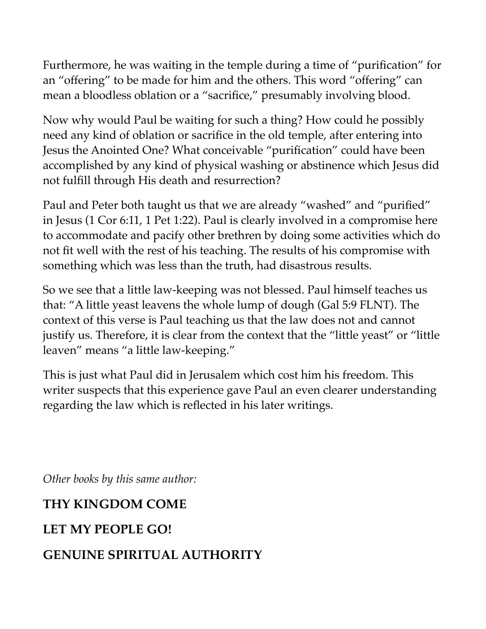Furthermore, he was waiting in the temple during a time of "purification" for an "offering" to be made for him and the others. This word "offering" can mean a bloodless oblation or a "sacrifice," presumably involving blood.

Now why would Paul be waiting for such a thing? How could he possibly need any kind of oblation or sacrifice in the old temple, after entering into Jesus the Anointed One? What conceivable "purification" could have been accomplished by any kind of physical washing or abstinence which Jesus did not fulfill through His death and resurrection?

Paul and Peter both taught us that we are already "washed" and "purified" in Jesus (1 Cor 6:11, 1 Pet 1:22). Paul is clearly involved in a compromise here to accommodate and pacify other brethren by doing some activities which do not fit well with the rest of his teaching. The results of his compromise with something which was less than the truth, had disastrous results.

So we see that a little law-keeping was not blessed. Paul himself teaches us that: "A little yeast leavens the whole lump of dough (Gal 5:9 FLNT). The context of this verse is Paul teaching us that the law does not and cannot justify us. Therefore, it is clear from the context that the "little yeast" or "little leaven" means "a little law-keeping."

This is just what Paul did in Jerusalem which cost him his freedom. This writer suspects that this experience gave Paul an even clearer understanding regarding the law which is reflected in his later writings.

*Other books by this same author:* 

# **THY KINGDOM COME**

# **LET MY PEOPLE GO!**

# **GENUINE SPIRITUAL AUTHORITY**